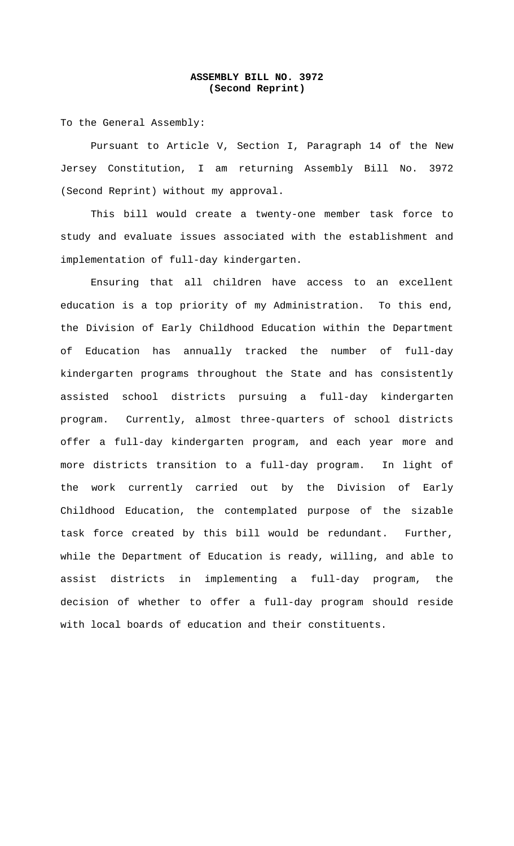## **ASSEMBLY BILL NO. 3972 (Second Reprint)**

To the General Assembly:

Pursuant to Article V, Section I, Paragraph 14 of the New Jersey Constitution, I am returning Assembly Bill No. 3972 (Second Reprint) without my approval.

This bill would create a twenty-one member task force to study and evaluate issues associated with the establishment and implementation of full-day kindergarten.

Ensuring that all children have access to an excellent education is a top priority of my Administration. To this end, the Division of Early Childhood Education within the Department of Education has annually tracked the number of full-day kindergarten programs throughout the State and has consistently assisted school districts pursuing a full-day kindergarten program. Currently, almost three-quarters of school districts offer a full-day kindergarten program, and each year more and more districts transition to a full-day program. In light of the work currently carried out by the Division of Early Childhood Education, the contemplated purpose of the sizable task force created by this bill would be redundant. Further, while the Department of Education is ready, willing, and able to assist districts in implementing a full-day program, the decision of whether to offer a full-day program should reside with local boards of education and their constituents.